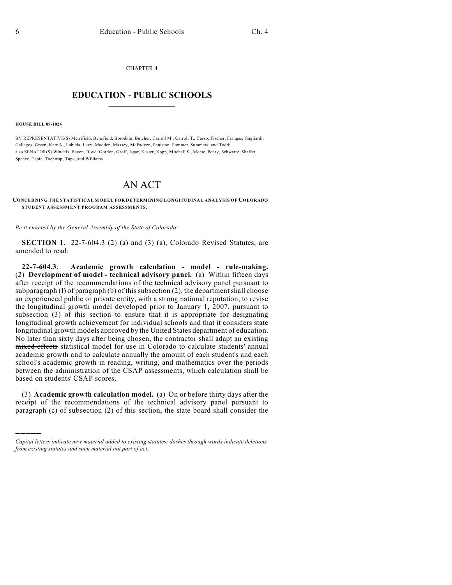CHAPTER 4  $\overline{\phantom{a}}$  . The set of the set of the set of the set of the set of the set of the set of the set of the set of the set of the set of the set of the set of the set of the set of the set of the set of the set of the set o

## **EDUCATION - PUBLIC SCHOOLS**  $\_$   $\_$   $\_$   $\_$   $\_$   $\_$   $\_$   $\_$   $\_$

**HOUSE BILL 08-1024**

)))))

BY REPRESENTATIVE(S) Merrifield, Benefield, Borodkin, Butcher, Carroll M., Carroll T., Casso, Fischer, Frangas, Gagliardi, Gallegos, Green, Kerr A., Labuda, Levy, Madden, Massey, McFadyen, Peniston, Pommer, Summers, and Todd; also SENATOR(S) Windels, Bacon, Boyd, Gordon, Groff, Isgar, Kester, Kopp, Mitchell S., Morse, Penry, Schwartz, Shaffer, Spence, Tapia, Tochtrop, Tupa, and Williams.

## AN ACT

## **CONCERNING THE STATISTICAL MODEL FOR DETERM INING LONGITUDINAL ANALYSIS OF COLORADO STUDENT ASSESSMENT PROGRAM ASSESSMENTS.**

*Be it enacted by the General Assembly of the State of Colorado:*

**SECTION 1.** 22-7-604.3 (2) (a) and (3) (a), Colorado Revised Statutes, are amended to read:

**22-7-604.3. Academic growth calculation - model - rule-making.** (2) **Development of model - technical advisory panel.** (a) Within fifteen days after receipt of the recommendations of the technical advisory panel pursuant to subparagraph (I) of paragraph (b) of this subsection (2), the department shall choose an experienced public or private entity, with a strong national reputation, to revise the longitudinal growth model developed prior to January 1, 2007, pursuant to subsection (3) of this section to ensure that it is appropriate for designating longitudinal growth achievement for individual schools and that it considers state longitudinal growth models approved by the United States department of education. No later than sixty days after being chosen, the contractor shall adapt an existing mixed-effects statistical model for use in Colorado to calculate students' annual academic growth and to calculate annually the amount of each student's and each school's academic growth in reading, writing, and mathematics over the periods between the administration of the CSAP assessments, which calculation shall be based on students' CSAP scores.

(3) **Academic growth calculation model.** (a) On or before thirty days after the receipt of the recommendations of the technical advisory panel pursuant to paragraph (c) of subsection (2) of this section, the state board shall consider the

*Capital letters indicate new material added to existing statutes; dashes through words indicate deletions from existing statutes and such material not part of act.*